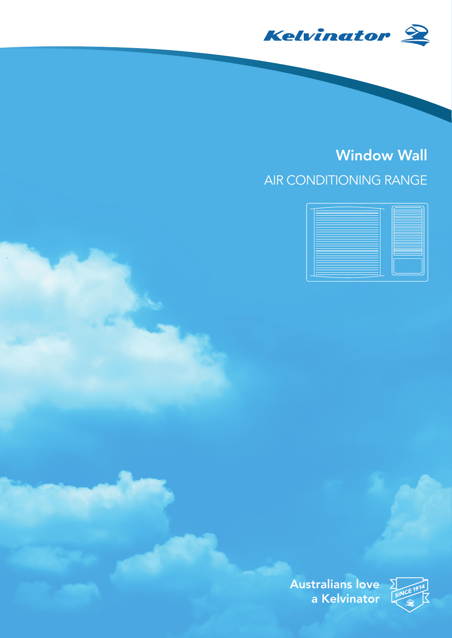

## Window Wall AIR CONDITIONING RANGE



Australians love  $\Sigma$ a Kelvinator

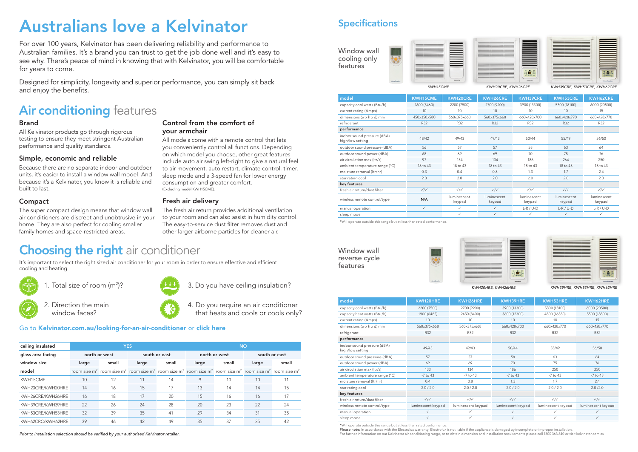For over 100 years, Kelvinator has been delivering reliability and performance to Australian families. It's a brand you can trust to get the job done well and it's easy to see why. There's peace of mind in knowing that with Kelvinator, you will be comfortable for years to come.

Designed for simplicity, longevity and superior performance, you can simply sit back and enjoy the benefits.

## **Air conditioning** features

*Prior to installation selection should be verified by your authorised Kelvinator retailer.*

### **Specifications**

Window wall cooling only features



| model                                           | <b>KWH15CME</b>             | <b>KWH20CRE</b>       | <b>KWH26CRE</b>       | <b>KWH39CRE</b>             | <b>KWH53CRE</b>       | <b>KWH62CRE</b>       |
|-------------------------------------------------|-----------------------------|-----------------------|-----------------------|-----------------------------|-----------------------|-----------------------|
| capacity cool watts (Btu/h)                     | 1600 (5460)                 | 2200 (7500)           | 2700 (9200)           | 3900 (13300)                | 5300 (18100)          | 6000 (20500)          |
| current rating (Amps)                           | 10                          | 10                    | 10                    | 10                          | 10                    | 15                    |
| dimensions (w x h x d) mm                       | 450x350x580                 | 560x375x668           | 560x375x668           | 660x428x700                 | 660x428x770           | 660x428x770           |
| refrigerant                                     | R32                         | R32                   | R32                   | R32                         | R32                   | R32                   |
| performance                                     |                             |                       |                       |                             |                       |                       |
| indoor sound pressure (dBA)<br>high/low setting | 48/42                       | 49/43                 | 49/43                 | 50/44                       | 55/49                 | 56/50                 |
| outdoor sound pressure (dBA)                    | 56                          | 57                    | 57                    | 58                          | 63                    | 64                    |
| outdoor sound power (dBA)                       | 68                          | 69                    | 69                    | 70                          | 75                    | 76                    |
| air circulation max (Itr/s)                     | 97                          | 134                   | 134                   | 186                         | 264                   | 250                   |
| ambient temperature range (°C)                  | 18 to 43                    | 18 to 43              | 18 to 43              | 18 to 43                    | 18 to 43              | 18 to 43              |
| moisture removal (ltr/hr)                       | 0.3                         | 0.4                   | 0.8                   | 1.3                         | 1.7                   | 2.4                   |
| star rating cool                                | 2.0                         | 2.0                   | 2.0                   | 2.0<br>2.0                  |                       | 2.0                   |
| key features                                    |                             |                       |                       |                             |                       |                       |
| fresh air return/dust filter                    | $\checkmark$ / $\checkmark$ | $\checkmark$          | $\checkmark$          | $\checkmark$ / $\checkmark$ | $\sqrt{}/\sqrt{}$     | $\checkmark$          |
| wireless remote control/type                    | N/A                         | luminescent<br>keypad | luminescent<br>keypad | luminescent<br>keypad       | luminescent<br>keypad | luminescent<br>keypad |
| manual operation                                | $\checkmark$                | $\checkmark$          | $\checkmark$          | $L-R/U-D$                   | $L-R / U-D$           | $L-R / U-D$           |
| sleep mode                                      |                             | $\checkmark$          | ✓                     | ✓                           | $\checkmark$          | $\checkmark$          |

\*Will operate outside this range but at less than rated performance.

Please note: In accordance with the Electrolux warranty, Electrolux is not liable if the appliance is damaged by incomplete or improper installation. For further information on our Kelvinator air conditioning range, or to obtain dimension and installation requirements please call 1300 363 640 or visit kelvinator.com.au



*KWH15CME KWH20CRE, KWH26CRE KWH39CRE, KWH53CRE, KWH62CRE*





Window wall reverse cycle features



*KWH20HRE, KWH26HRE KWH39HRE, KWH53HRE, KWH62HRE*

| model                                           | KWH20HRE           | KWH26HRE           | KWH39HRE           | KWH53HRE           | KWH62HRE           |
|-------------------------------------------------|--------------------|--------------------|--------------------|--------------------|--------------------|
| capacity cool watts (Btu/h)                     | 2200 (7500)        | 2700 (9200)        | 3900 (13300)       | 5300 (18100)       | 6000 (20500)       |
| capacity heat watts (Btu/h)                     | 1900 (6485)        | 2450 (8400)        | 3600 (12300)       | 4800 (16380)       | 5500 (18800)       |
| current rating (Amps)                           | 10                 | 10                 | 10                 | 10                 | 15                 |
| dimensions ( $w \times h \times d$ ) mm         | 560x375x668        | 560x375x668        | 660x428x700        | 660x428x770        | 660x428x770        |
| refrigerant                                     | R32                | R32                | R32                | R32                | R32                |
| performance                                     |                    |                    |                    |                    |                    |
| indoor sound pressure (dBA)<br>high/low setting | 49/43              | 49/43              | 50/44              | 55/49              | 56/50              |
| outdoor sound pressure (dBA)                    | 57                 | 57                 | 58                 | 63                 | 64                 |
| outdoor sound power (dBA)                       | 69                 | 69                 | 70                 | 75                 | 76                 |
| air circulation max (ltr/s)                     | 133                | 134                | 186                | 250                | 250                |
| ambient temperature range (°C)                  | $-7$ to $43$       | $-7$ to $43$       | $-7$ to $43$       | -7 to 43           | $-7$ to $43$       |
| moisture removal (ltr/hr)                       | 0.4                | 0.8                | 1.3                | 1.7                | 2.4                |
| star rating cool                                | 2.0 / 2.0          | 2.0 / 2.0          | 2.0 / 2.0          | 2.0 / 2.0          | 2.0 / 2.0          |
| key features                                    |                    |                    |                    |                    |                    |
| fresh air return/dust filter                    | $\checkmark$       | $\checkmark$       | $\checkmark$       | $\checkmark$       | $\sqrt{\sqrt{}}$   |
| wireless remote control/type                    | luminescent keypad | luminescent keypad | luminescent keypad | luminescent keypad | luminescent keypad |
| manual operation                                | ✓                  | ✓                  | ✓                  | ✓                  | ✓                  |
| sleep mode                                      | ✓                  | ✓                  | ✓                  |                    |                    |

\*Will operate outside this range but at less than rated performance.

# Australians love a Kelvinator

#### Brand

All Kelvinator products go through rigorous testing to ensure they meet stringent Australian performance and quality standards.

### Simple, economic and reliable

Because there are no separate indoor and outdoor units, it's easier to install a window wall model. And because it's a Kelvinator, you know it is reliable and built to last.

### Compact

The super compact design means that window wall air conditioners are discreet and unobtrusive in your home. They are also perfect for cooling smaller family homes and space-restricted areas.

#### Control from the comfort of your armchair

All models come with a remote control that lets you conveniently control all functions. Depending on which model you choose, other great features include auto air swing left-right to give a natural feel to air movement, auto restart, climate control, timer, sleep mode and a 3-speed fan for lower energy consumption and greater comfort. (Excluding model KWH15CME).

### Fresh air delivery

The fresh air return provides additional ventilation to your room and can also assist in humidity control. The easy-to-service dust filter removes dust and other larger airborne particles for cleaner air.

## **Choosing the right** air conditioner

#### Go to Kelvinator.com.au/looking-for-an-air-conditioner or [click here](https://www.kelvinator.com.au/looking-for-an-air-conditioner/)

It's important to select the right sized air conditioner for your room in order to ensure effective and efficient cooling and heating.

 $\left( \frac{m^2}{2}\right)$  1. Total size of room (m<sup>2</sup>)?



3. Do you have ceiling insulation?

2. Direction the main window faces?



4. Do you require an air conditioner that heats and cools or cools only?

| ceiling insulated | <b>YES</b>    |                                                                                                                                                                                                         |               |       | <b>NO</b>     |       |               |       |
|-------------------|---------------|---------------------------------------------------------------------------------------------------------------------------------------------------------------------------------------------------------|---------------|-------|---------------|-------|---------------|-------|
| glass area facing | north or west |                                                                                                                                                                                                         | south or east |       | north or west |       | south or east |       |
| window size       | large         | small                                                                                                                                                                                                   | large         | small | large         | small | large         | small |
| model             |               | room size m <sup>2</sup> room size m <sup>2</sup> room size m <sup>2</sup> room size m <sup>2</sup> room size m <sup>2</sup> room size m <sup>2</sup> room size m <sup>2</sup> room size m <sup>2</sup> |               |       |               |       |               |       |
| KWH15CME          | 10            | 12                                                                                                                                                                                                      | 11            | 14    | 9             | 10    | 10            | 11    |
| KWH20CRE/KWH20HRE | 14            | 16                                                                                                                                                                                                      | 15            | 17    | 13            | 14    | 14            | 15    |
| KWH26CRE/KWH26HRE | 16            | 18                                                                                                                                                                                                      | 17            | 20    | 15            | 16    | 16            | 17    |
| KWH39CRE/KWH39HRE | 22            | 26                                                                                                                                                                                                      | 24            | 28    | 20            | 23    | 22            | 24    |
| KWH53CRE/KWH53HRE | 32            | 39                                                                                                                                                                                                      | 35            | 41    | 29            | 34    | 31            | 35    |
| KWH62CRC/KWH62HRE | 39            | 46                                                                                                                                                                                                      | 42            | 49    | 35            | 37    | 35            | 42    |